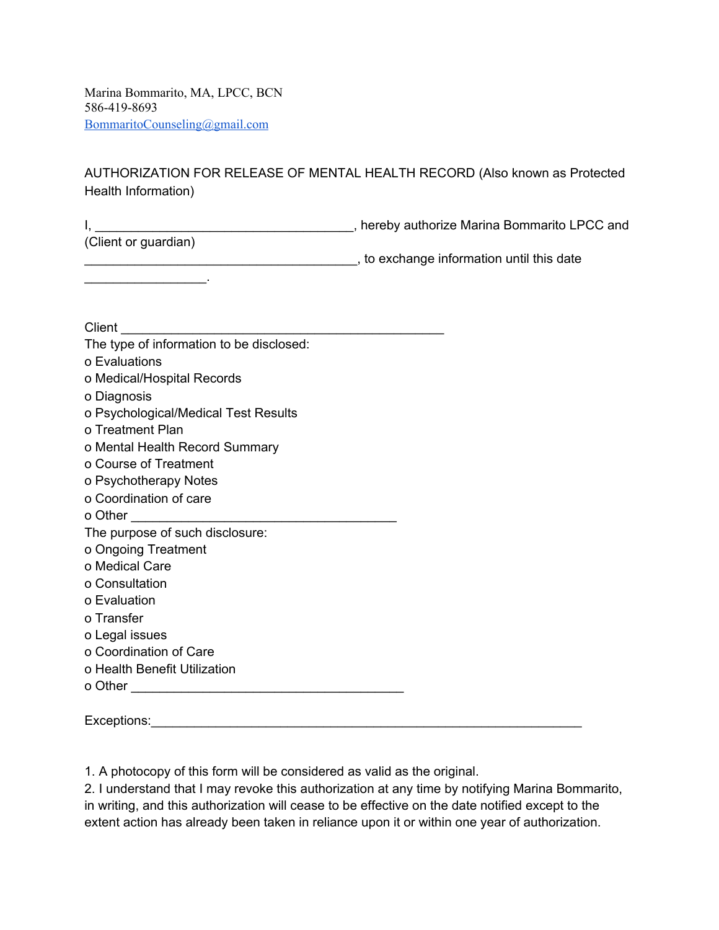Marina Bommarito, MA, LPCC, BCN 586-419-8693 [BommaritoCounseling@gmail.com](mailto:BommaritoCounseling@gmail.com)

AUTHORIZATION FOR RELEASE OF MENTAL HEALTH RECORD (Also known as Protected Health Information)

I, \_\_\_\_\_\_\_\_\_\_\_\_\_\_\_\_\_\_\_\_\_\_\_\_\_\_\_\_\_\_\_\_\_\_\_\_, hereby authorize Marina Bommarito LPCC and

(Client or guardian)

 $\frac{1}{2}$  ,  $\frac{1}{2}$  ,  $\frac{1}{2}$  ,  $\frac{1}{2}$  ,  $\frac{1}{2}$  ,  $\frac{1}{2}$  ,  $\frac{1}{2}$ 

\_\_\_\_\_\_\_\_\_\_\_\_\_\_\_\_\_\_\_\_\_\_\_\_\_\_\_\_\_\_\_\_\_\_\_\_\_\_, to exchange information until this date

Client **Client** 

| The type of information to be disclosed: |
|------------------------------------------|
| o Evaluations                            |
| o Medical/Hospital Records               |
| o Diagnosis                              |
| o Psychological/Medical Test Results     |
| o Treatment Plan                         |
| o Mental Health Record Summary           |
| o Course of Treatment                    |
| o Psychotherapy Notes                    |
| o Coordination of care                   |
| o Other                                  |
|                                          |
| The purpose of such disclosure:          |
| o Ongoing Treatment                      |
| o Medical Care                           |
| o Consultation                           |
| o Evaluation                             |
| o Transfer                               |
| o Legal issues                           |
| o Coordination of Care                   |
| o Health Benefit Utilization             |
| o Other                                  |

Exceptions: which is a set of the set of the set of the set of the set of the set of the set of the set of the set of the set of the set of the set of the set of the set of the set of the set of the set of the set of the s

1. A photocopy of this form will be considered as valid as the original.

2. I understand that I may revoke this authorization at any time by notifying Marina Bommarito, in writing, and this authorization will cease to be effective on the date notified except to the extent action has already been taken in reliance upon it or within one year of authorization.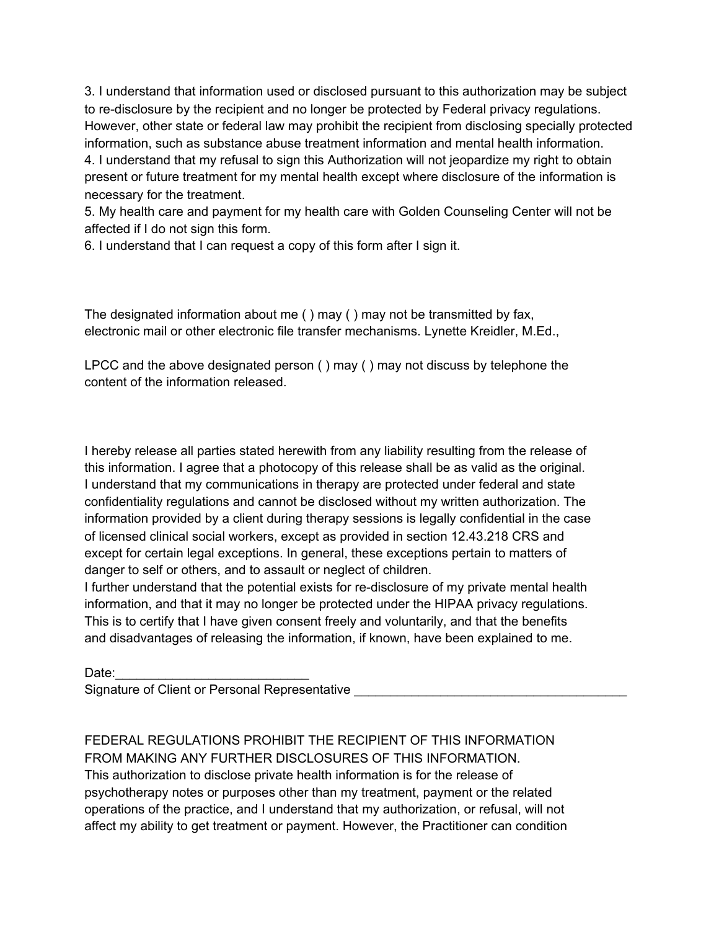3. I understand that information used or disclosed pursuant to this authorization may be subject to re-disclosure by the recipient and no longer be protected by Federal privacy regulations. However, other state or federal law may prohibit the recipient from disclosing specially protected information, such as substance abuse treatment information and mental health information.

4. I understand that my refusal to sign this Authorization will not jeopardize my right to obtain present or future treatment for my mental health except where disclosure of the information is necessary for the treatment.

5. My health care and payment for my health care with Golden Counseling Center will not be affected if I do not sign this form.

6. I understand that I can request a copy of this form after I sign it.

The designated information about me ( ) may ( ) may not be transmitted by fax, electronic mail or other electronic file transfer mechanisms. Lynette Kreidler, M.Ed.,

LPCC and the above designated person ( ) may ( ) may not discuss by telephone the content of the information released.

I hereby release all parties stated herewith from any liability resulting from the release of this information. I agree that a photocopy of this release shall be as valid as the original. I understand that my communications in therapy are protected under federal and state confidentiality regulations and cannot be disclosed without my written authorization. The information provided by a client during therapy sessions is legally confidential in the case of licensed clinical social workers, except as provided in section 12.43.218 CRS and except for certain legal exceptions. In general, these exceptions pertain to matters of danger to self or others, and to assault or neglect of children.

I further understand that the potential exists for re-disclosure of my private mental health information, and that it may no longer be protected under the HIPAA privacy regulations. This is to certify that I have given consent freely and voluntarily, and that the benefits and disadvantages of releasing the information, if known, have been explained to me.

Date:

Signature of Client or Personal Representative Letteration

FEDERAL REGULATIONS PROHIBIT THE RECIPIENT OF THIS INFORMATION FROM MAKING ANY FURTHER DISCLOSURES OF THIS INFORMATION. This authorization to disclose private health information is for the release of psychotherapy notes or purposes other than my treatment, payment or the related operations of the practice, and I understand that my authorization, or refusal, will not affect my ability to get treatment or payment. However, the Practitioner can condition